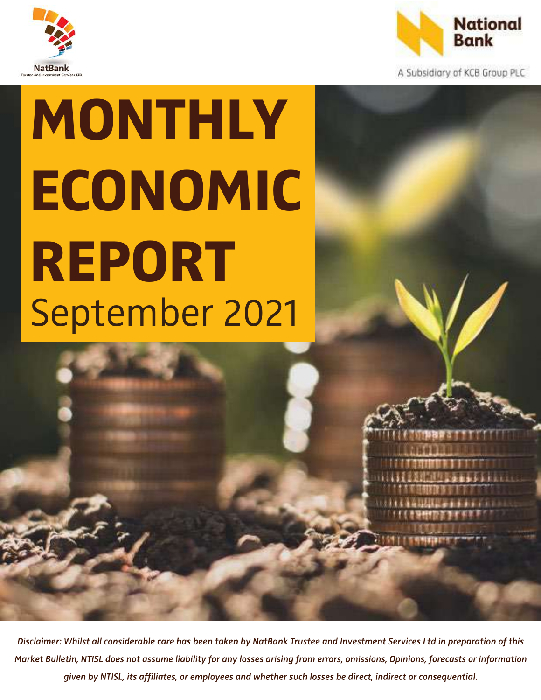



A Subsidiary of KCB Group PLC

# MONTHLY ECONOMIC REPORT September 2021

Disclaimer: Whilst all considerable care has been taken by NatBank Trustee and Investment Services Ltd in preparation of this Market Bulletin, NTISL does not assume liability for any losses arising from errors, omissions, Opinions, forecasts or information given by NTISL, its affiliates, or employees and whether such losses be direct, indirect or consequential.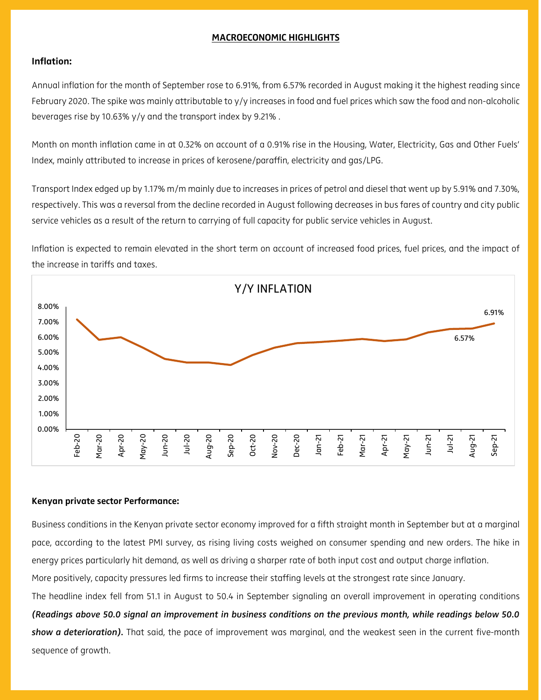### MACROECONOMIC HIGHLIGHTS

#### Inflation:

Annual inflation for the month of September rose to 6.91%, from 6.57% recorded in August making it the highest reading since February 2020. The spike was mainly attributable to y/y increases in food and fuel prices which saw the food and non-alcoholic beverages rise by 10.63% y/y and the transport index by 9.21% .

Month on month inflation came in at 0.32% on account of a 0.91% rise in the Housing, Water, Electricity, Gas and Other Fuels' Index, mainly attributed to increase in prices of kerosene/paraffin, electricity and gas/LPG.

Transport Index edged up by 1.17% m/m mainly due to increases in prices of petrol and diesel that went up by 5.91% and 7.30%, respectively. This was a reversal from the decline recorded in August following decreases in bus fares of country and city public service vehicles as a result of the return to carrying of full capacity for public service vehicles in August.

Inflation is expected to remain elevated in the short term on account of increased food prices, fuel prices, and the impact of the increase in tariffs and taxes.



#### Kenyan private sector Performance:

Business conditions in the Kenyan private sector economy improved for a fifth straight month in September but at a marginal pace, according to the latest PMI survey, as rising living costs weighed on consumer spending and new orders. The hike in energy prices particularly hit demand, as well as driving a sharper rate of both input cost and output charge inflation.

More positively, capacity pressures led firms to increase their staffing levels at the strongest rate since January.

The headline index fell from 51.1 in August to 50.4 in September signaling an overall improvement in operating conditions *(Readings above 50.0 signal an improvement in business conditions on the previous month, while readings below 50.0 show a deterioration).* That said, the pace of improvement was marginal, and the weakest seen in the current five-month sequence of growth.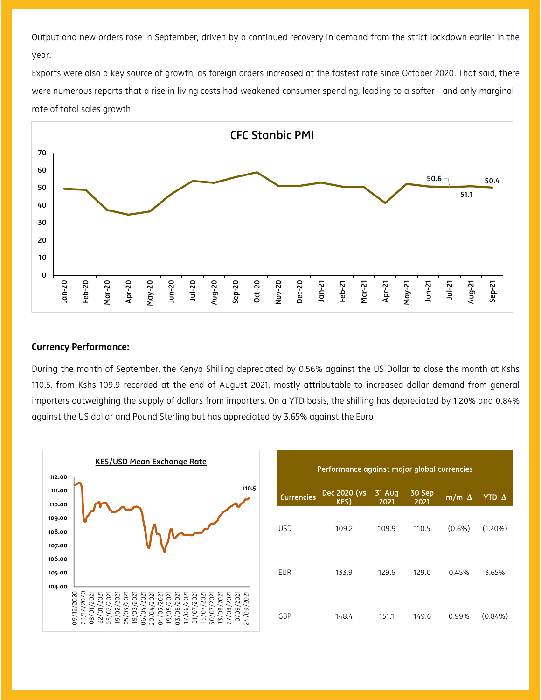Output and new orders rose in September, driven by a continued recovery in demand from the strict lockdown earlier in the year.

Exports were also a key source of growth, as foreign orders increased at the fastest rate since October 2020. That said, there were numerous reports that a rise in living costs had weakened consumer spending, leading to a softer - and only marginal rate of total sales growth.



#### Currency Performance:

During the month of September, the Kenya Shilling depreciated by 0.56% against the US Dollar to close the month at Kshs 110.5, from Kshs 109.9 recorded at the end of August 2021, mostly attributable to increased dollar demand from general importers outweighing the supply of dollars from importers. On a YTD basis, the shilling has depreciated by 1.20% and 0.84% against the US dollar and Pound Sterling but has appreciated by 3.65% against the Euro



| Performance against major global currencies |                      |                       |                |              |                     |
|---------------------------------------------|----------------------|-----------------------|----------------|--------------|---------------------|
| <b>Currencies</b>                           | Dec 2020 (vs<br>KES) | <b>31 Aug</b><br>2021 | 30 Sep<br>2021 | $m/m \Delta$ | <b>YTD</b> $\Delta$ |
| <b>USD</b>                                  | 109.2                | 109.9                 | 110.5          | $(0.6\%)$    | $(1.20\%)$          |
| EUR                                         | 133.9                | 129.6                 | 129.0          | 0.45%        | 3.65%               |
| GBP                                         | 148.4                | 151.1                 | 149.6          | 0.99%        | $(0.84\%)$          |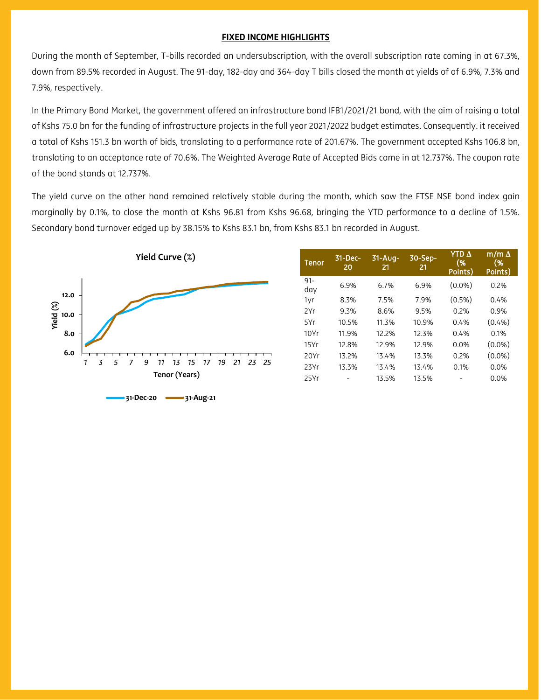#### FIXED INCOME HIGHLIGHTS

During the month of September, T-bills recorded an undersubscription, with the overall subscription rate coming in at 67.3%, down from 89.5% recorded in August. The 91-day, 182-day and 364-day T bills closed the month at yields of of 6.9%, 7.3% and 7.9%, respectively.

In the Primary Bond Market, the government offered an infrastructure bond IFB1/2021/21 bond, with the aim of raising a total of Kshs 75.0 bn for the funding of infrastructure projects in the full year 2021/2022 budget estimates. Consequently. it received a total of Kshs 151.3 bn worth of bids, translating to a performance rate of 201.67%. The government accepted Kshs 106.8 bn, translating to an acceptance rate of 70.6%. The Weighted Average Rate of Accepted Bids came in at 12.737%. The coupon rate of the bond stands at 12.737%.

The yield curve on the other hand remained relatively stable during the month, which saw the FTSE NSE bond index gain marginally by 0.1%, to close the month at Kshs 96.81 from Kshs 96.68, bringing the YTD performance to a decline of 1.5%. Secondary bond turnover edged up by 38.15% to Kshs 83.1 bn, from Kshs 83.1 bn recorded in August.



| <b>Tenor</b>  | $31 - Dec-$<br>20 | $31 - Aug-$<br>21 | 30-Sep-<br>21 | <b>YTD</b> $\Delta$<br>(%<br>Points) | m/m $\Delta$<br>(%<br>Points) |
|---------------|-------------------|-------------------|---------------|--------------------------------------|-------------------------------|
| $91 -$<br>day | 6.9%              | 6.7%              | 6.9%          | $(0.0\%)$                            | 0.2%                          |
| 1yr           | 8.3%              | 7.5%              | 7.9%          | $(0.5\%)$                            | 0.4%                          |
| 2Yr           | 9.3%              | 8.6%              | 9.5%          | 0.2%                                 | 0.9%                          |
| 5Yr           | 10.5%             | 11.3%             | 10.9%         | 0.4%                                 | (0.4% )                       |
| 10Yr          | 11.9%             | 12.2%             | 12.3%         | 0.4%                                 | 0.1%                          |
| 15Yr          | 12.8%             | 12.9%             | 12.9%         | 0.0%                                 | $(0.0\%)$                     |
| 20Yr          | 13.2%             | 13.4%             | 13.3%         | 0.2%                                 | $(0.0\%)$                     |
| 23Yr          | 13.3%             | 13.4%             | 13.4%         | 0.1%                                 | 0.0%                          |
| 25Yr          |                   | 13.5%             | 13.5%         |                                      | 0.0%                          |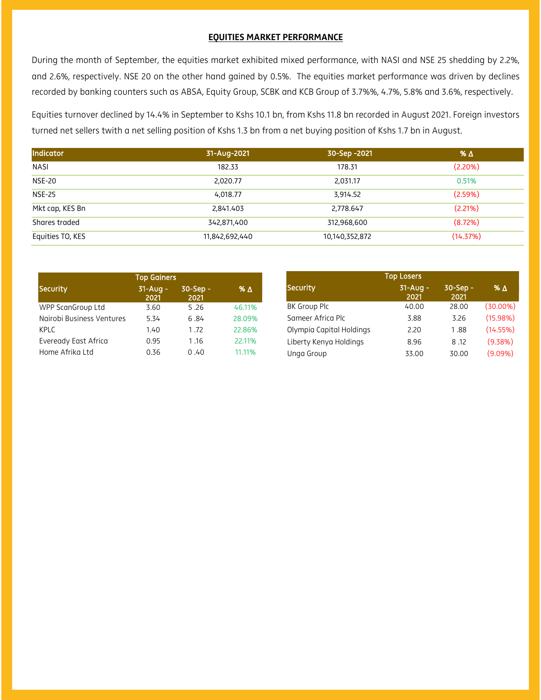#### EQUITIES MARKET PERFORMANCE

During the month of September, the equities market exhibited mixed performance, with NASI and NSE 25 shedding by 2.2%, and 2.6%, respectively. NSE 20 on the other hand gained by 0.5%. The equities market performance was driven by declines recorded by banking counters such as ABSA, Equity Group, SCBK and KCB Group of 3.7%%, 4.7%, 5.8% and 3.6%, respectively.

Equities turnover declined by 14.4% in September to Kshs 10.1 bn, from Kshs 11.8 bn recorded in August 2021. Foreign investors turned net sellers twith a net selling position of Kshs 1.3 bn from a net buying position of Kshs 1.7 bn in August.

| Indicator        | 31-Aug-2021    | 30-Sep -2021   | % $\Delta$ |
|------------------|----------------|----------------|------------|
| <b>NASI</b>      | 182.33         | 178.31         | (2.20%)    |
| <b>NSE-20</b>    | 2,020.77       | 2,031.17       | 0.51%      |
| <b>NSE-25</b>    | 4,018.77       | 3,914.52       | (2.59%)    |
| Mkt cap, KES Bn  | 2,841.403      | 2.778.647      | (2.21%)    |
| Shares traded    | 342,871,400    | 312,968,600    | (8.72%)    |
| Equities TO, KES | 11,842,692,440 | 10,140,352,872 | (14.37%)   |

|                           | <b>Top Gainers</b> |                  |        |
|---------------------------|--------------------|------------------|--------|
| Security                  | $31-Auq -$<br>2021 | 30-Sep -<br>2021 | % Δ    |
| WPP ScanGroup Ltd         | 3.60               | 5.26             | 46.11% |
| Nairobi Business Ventures | 5.34               | 6.84             | 28.09% |
| <b>KPLC</b>               | 1.40               | 1.72             | 22.86% |
| Eveready East Africa      | 0.95               | 1.16             | 22.11% |
| Home Afrika Ltd           | 0.36               | 0.40             | 11.11% |

| Top Losers               |                    |                  |             |  |
|--------------------------|--------------------|------------------|-------------|--|
| Security                 | $31-Auq -$<br>2021 | 30-Sep -<br>2021 | $% \Delta$  |  |
| BK Group Plc             | 40.00              | 28.00            | $(30.00\%)$ |  |
| Sameer Africa Plc        | 3.88               | 3.26             | (15.98%)    |  |
| Olympia Capital Holdings | 2.20               | 1.88             | (14.55%)    |  |
| Liberty Kenya Holdings   | 8.96               | 8.12             | (9.38%)     |  |
| Unga Group               | 33.00              | 30.00            | $(9.09\%)$  |  |